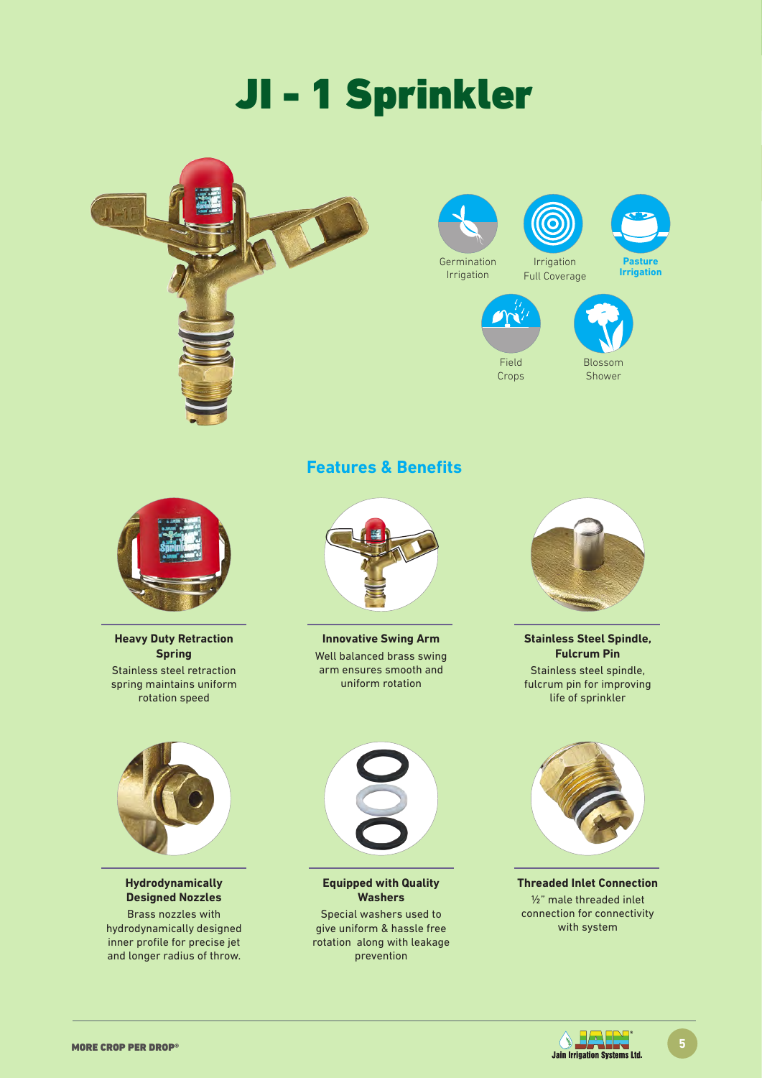# JI - 1 Sprinkler